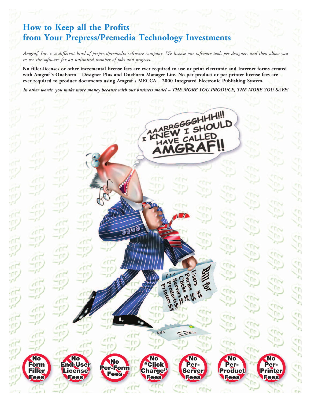## **How to Keep all the Profits from Your Prepress/Premedia Technology Investments**

*Amgraf, Inc. is a different kind of prepress/premedia software company. We license our software tools per designer, and then allow you to use the software for an unlimited number of jobs and projects.*

**No filler-licenses or other incremental license fees are ever required to use or print electronic and Internet forms created with Amgraf's OneForm Designer Plus and OneForm Manager Lite. No per-product or per-printer license fees are** ever required to produce documents using Amgraf's MECCA<sup>™</sup> 2000 Integrated Electronic Publishing System.

*In other words, you make more money because with our business model – THE MORE YOU PRODUCE, THE MORE YOU SAVE!*